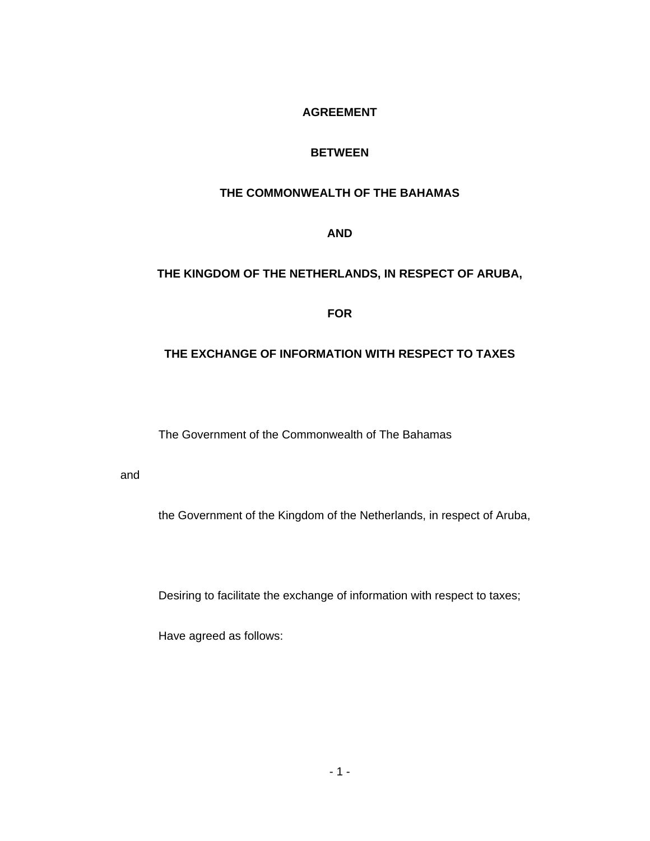### **AGREEMENT**

### **BETWEEN**

### **THE COMMONWEALTH OF THE BAHAMAS**

### **AND**

### **THE KINGDOM OF THE NETHERLANDS, IN RESPECT OF ARUBA,**

#### **FOR**

### **THE EXCHANGE OF INFORMATION WITH RESPECT TO TAXES**

The Government of the Commonwealth of The Bahamas

and

the Government of the Kingdom of the Netherlands, in respect of Aruba,

Desiring to facilitate the exchange of information with respect to taxes;

Have agreed as follows: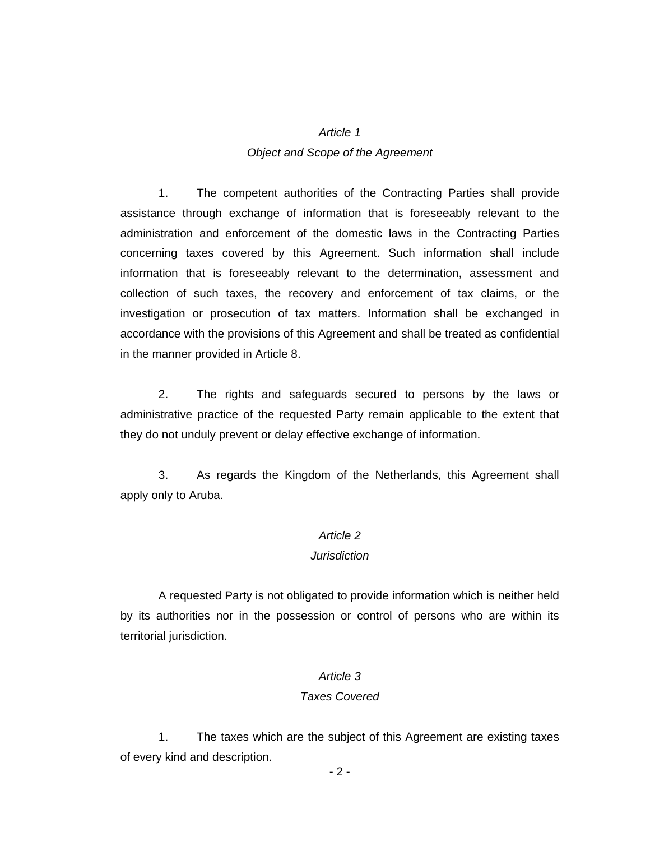# *Article 1 Object and Scope of the Agreement*

1. The competent authorities of the Contracting Parties shall provide assistance through exchange of information that is foreseeably relevant to the administration and enforcement of the domestic laws in the Contracting Parties concerning taxes covered by this Agreement. Such information shall include information that is foreseeably relevant to the determination, assessment and collection of such taxes, the recovery and enforcement of tax claims, or the investigation or prosecution of tax matters. Information shall be exchanged in accordance with the provisions of this Agreement and shall be treated as confidential in the manner provided in Article 8.

2. The rights and safeguards secured to persons by the laws or administrative practice of the requested Party remain applicable to the extent that they do not unduly prevent or delay effective exchange of information.

3. As regards the Kingdom of the Netherlands, this Agreement shall apply only to Aruba.

### *Article 2*

#### *Jurisdiction*

A requested Party is not obligated to provide information which is neither held by its authorities nor in the possession or control of persons who are within its territorial jurisdiction.

### *Article 3*

### *Taxes Covered*

1. The taxes which are the subject of this Agreement are existing taxes of every kind and description.

 $-2-$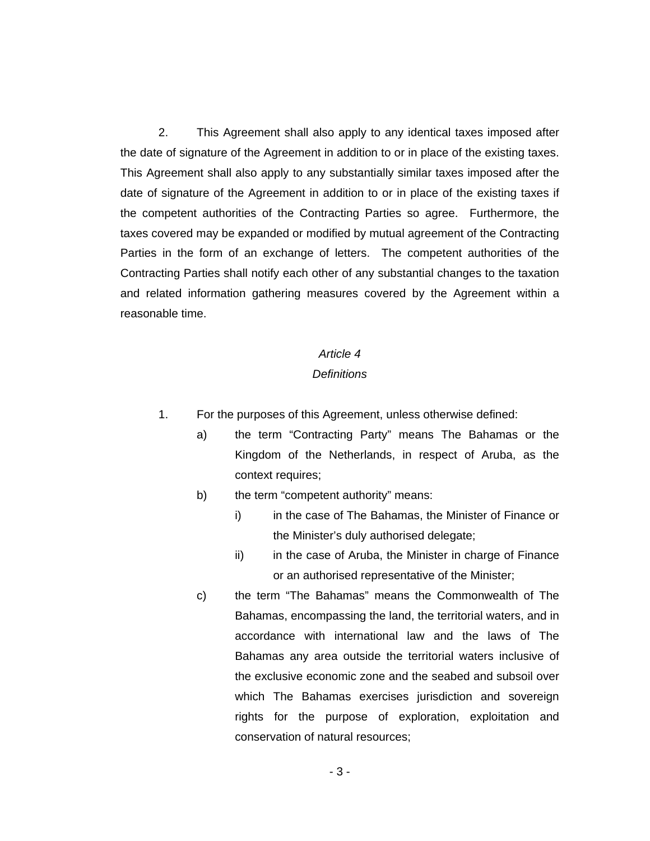2. This Agreement shall also apply to any identical taxes imposed after the date of signature of the Agreement in addition to or in place of the existing taxes. This Agreement shall also apply to any substantially similar taxes imposed after the date of signature of the Agreement in addition to or in place of the existing taxes if the competent authorities of the Contracting Parties so agree. Furthermore, the taxes covered may be expanded or modified by mutual agreement of the Contracting Parties in the form of an exchange of letters. The competent authorities of the Contracting Parties shall notify each other of any substantial changes to the taxation and related information gathering measures covered by the Agreement within a reasonable time.

# *Article 4*

### *Definitions*

- 1. For the purposes of this Agreement, unless otherwise defined:
	- a) the term "Contracting Party" means The Bahamas or the Kingdom of the Netherlands, in respect of Aruba, as the context requires;
	- b) the term "competent authority" means:
		- i) in the case of The Bahamas, the Minister of Finance or the Minister's duly authorised delegate;
		- ii) in the case of Aruba, the Minister in charge of Finance or an authorised representative of the Minister;
	- c) the term "The Bahamas" means the Commonwealth of The Bahamas, encompassing the land, the territorial waters, and in accordance with international law and the laws of The Bahamas any area outside the territorial waters inclusive of the exclusive economic zone and the seabed and subsoil over which The Bahamas exercises jurisdiction and sovereign rights for the purpose of exploration, exploitation and conservation of natural resources;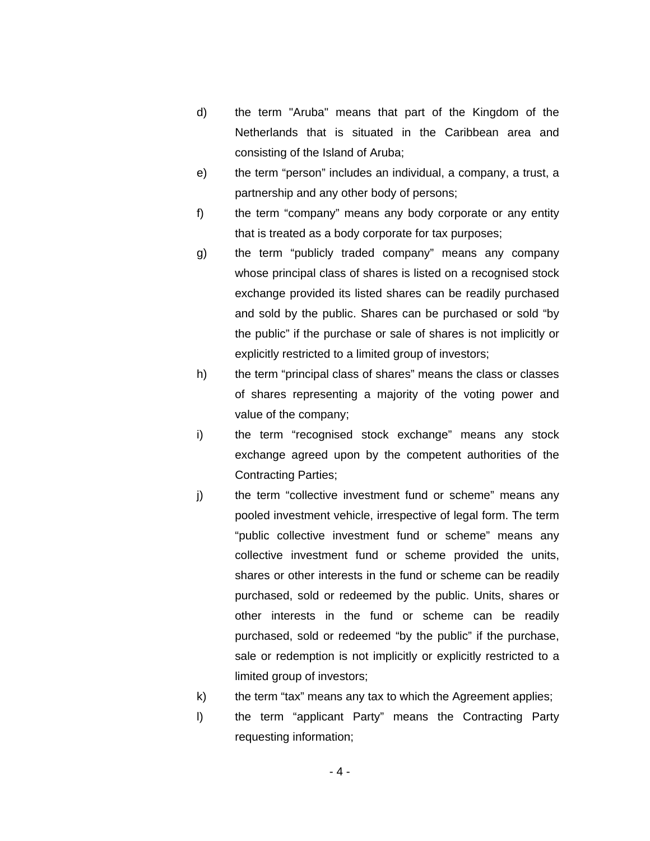- d) the term "Aruba" means that part of the Kingdom of the Netherlands that is situated in the Caribbean area and consisting of the Island of Aruba;
- e) the term "person" includes an individual, a company, a trust, a partnership and any other body of persons;
- f) the term "company" means any body corporate or any entity that is treated as a body corporate for tax purposes;
- g) the term "publicly traded company" means any company whose principal class of shares is listed on a recognised stock exchange provided its listed shares can be readily purchased and sold by the public. Shares can be purchased or sold "by the public" if the purchase or sale of shares is not implicitly or explicitly restricted to a limited group of investors;
- h) the term "principal class of shares" means the class or classes of shares representing a majority of the voting power and value of the company;
- i) the term "recognised stock exchange" means any stock exchange agreed upon by the competent authorities of the Contracting Parties;
- j) the term "collective investment fund or scheme" means any pooled investment vehicle, irrespective of legal form. The term "public collective investment fund or scheme" means any collective investment fund or scheme provided the units, shares or other interests in the fund or scheme can be readily purchased, sold or redeemed by the public. Units, shares or other interests in the fund or scheme can be readily purchased, sold or redeemed "by the public" if the purchase, sale or redemption is not implicitly or explicitly restricted to a limited group of investors;
- k) the term "tax" means any tax to which the Agreement applies;
- l) the term "applicant Party" means the Contracting Party requesting information;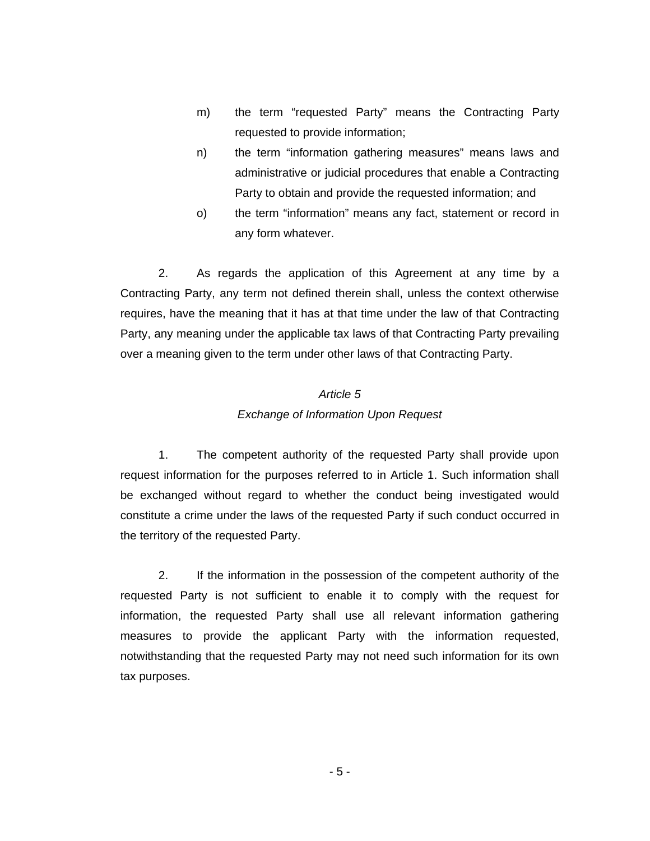- m) the term "requested Party" means the Contracting Party requested to provide information;
- n) the term "information gathering measures" means laws and administrative or judicial procedures that enable a Contracting Party to obtain and provide the requested information; and
- o) the term "information" means any fact, statement or record in any form whatever.

2. As regards the application of this Agreement at any time by a Contracting Party, any term not defined therein shall, unless the context otherwise requires, have the meaning that it has at that time under the law of that Contracting Party, any meaning under the applicable tax laws of that Contracting Party prevailing over a meaning given to the term under other laws of that Contracting Party.

# *Article 5 Exchange of Information Upon Request*

1. The competent authority of the requested Party shall provide upon request information for the purposes referred to in Article 1. Such information shall be exchanged without regard to whether the conduct being investigated would constitute a crime under the laws of the requested Party if such conduct occurred in the territory of the requested Party.

2. If the information in the possession of the competent authority of the requested Party is not sufficient to enable it to comply with the request for information, the requested Party shall use all relevant information gathering measures to provide the applicant Party with the information requested, notwithstanding that the requested Party may not need such information for its own tax purposes.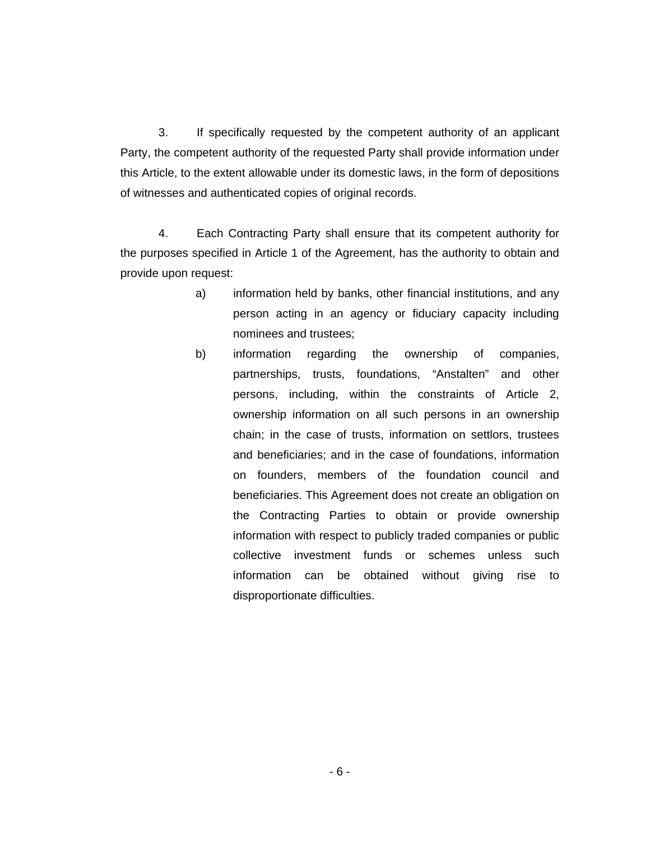3. If specifically requested by the competent authority of an applicant Party, the competent authority of the requested Party shall provide information under this Article, to the extent allowable under its domestic laws, in the form of depositions of witnesses and authenticated copies of original records.

4. Each Contracting Party shall ensure that its competent authority for the purposes specified in Article 1 of the Agreement, has the authority to obtain and provide upon request:

- a) information held by banks, other financial institutions, and any person acting in an agency or fiduciary capacity including nominees and trustees;
- b) information regarding the ownership of companies, partnerships, trusts, foundations, "Anstalten" and other persons, including, within the constraints of Article 2, ownership information on all such persons in an ownership chain; in the case of trusts, information on settlors, trustees and beneficiaries; and in the case of foundations, information on founders, members of the foundation council and beneficiaries. This Agreement does not create an obligation on the Contracting Parties to obtain or provide ownership information with respect to publicly traded companies or public collective investment funds or schemes unless such information can be obtained without giving rise to disproportionate difficulties.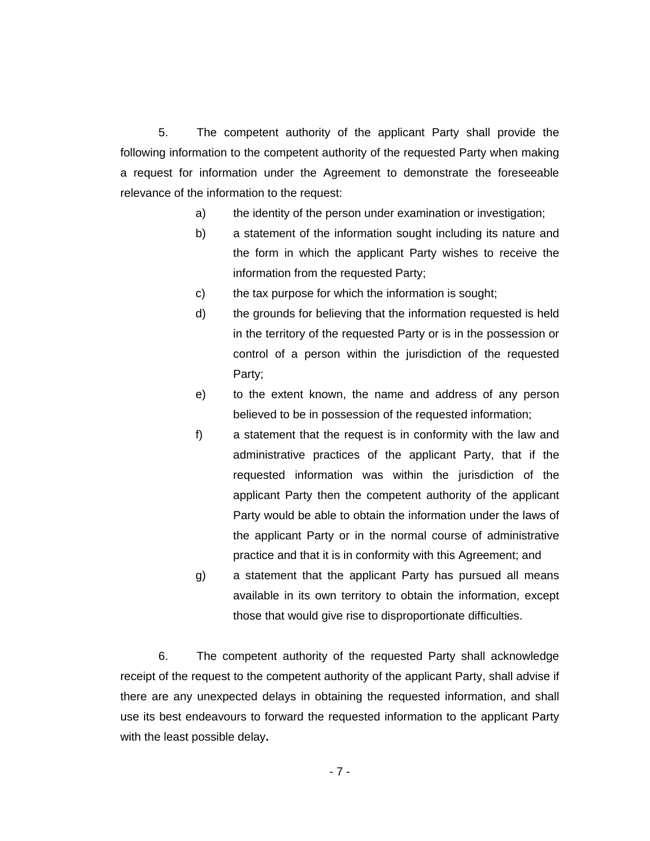5. The competent authority of the applicant Party shall provide the following information to the competent authority of the requested Party when making a request for information under the Agreement to demonstrate the foreseeable relevance of the information to the request:

- a) the identity of the person under examination or investigation;
- b) a statement of the information sought including its nature and the form in which the applicant Party wishes to receive the information from the requested Party;
- c) the tax purpose for which the information is sought;
- d) the grounds for believing that the information requested is held in the territory of the requested Party or is in the possession or control of a person within the jurisdiction of the requested Party;
- e) to the extent known, the name and address of any person believed to be in possession of the requested information;
- f) a statement that the request is in conformity with the law and administrative practices of the applicant Party, that if the requested information was within the jurisdiction of the applicant Party then the competent authority of the applicant Party would be able to obtain the information under the laws of the applicant Party or in the normal course of administrative practice and that it is in conformity with this Agreement; and
- g) a statement that the applicant Party has pursued all means available in its own territory to obtain the information, except those that would give rise to disproportionate difficulties.

6. The competent authority of the requested Party shall acknowledge receipt of the request to the competent authority of the applicant Party, shall advise if there are any unexpected delays in obtaining the requested information, and shall use its best endeavours to forward the requested information to the applicant Party with the least possible delay**.**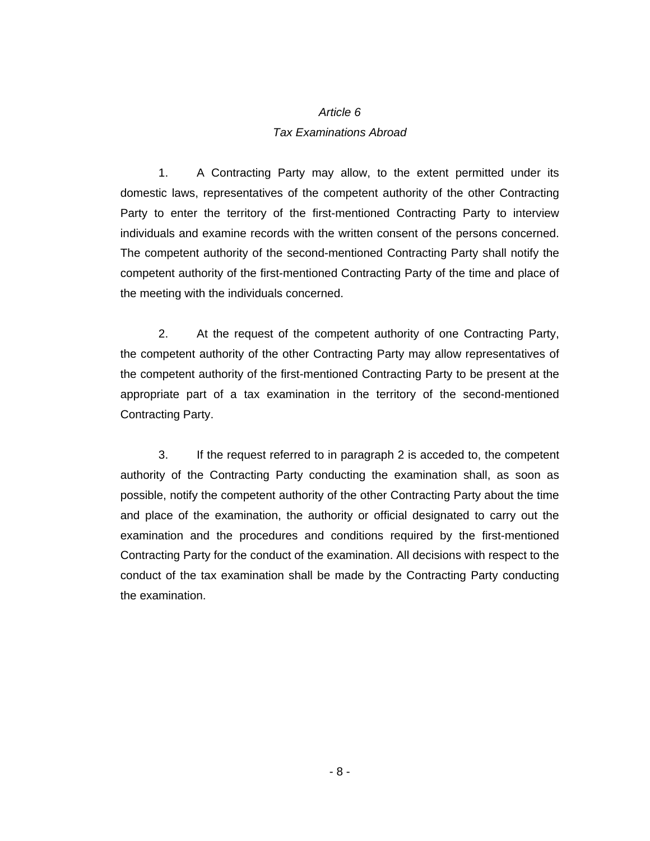# *Article 6 Tax Examinations Abroad*

1. A Contracting Party may allow, to the extent permitted under its domestic laws, representatives of the competent authority of the other Contracting Party to enter the territory of the first-mentioned Contracting Party to interview individuals and examine records with the written consent of the persons concerned. The competent authority of the second-mentioned Contracting Party shall notify the competent authority of the first-mentioned Contracting Party of the time and place of the meeting with the individuals concerned.

2. At the request of the competent authority of one Contracting Party, the competent authority of the other Contracting Party may allow representatives of the competent authority of the first-mentioned Contracting Party to be present at the appropriate part of a tax examination in the territory of the second-mentioned Contracting Party.

3. If the request referred to in paragraph 2 is acceded to, the competent authority of the Contracting Party conducting the examination shall, as soon as possible, notify the competent authority of the other Contracting Party about the time and place of the examination, the authority or official designated to carry out the examination and the procedures and conditions required by the first-mentioned Contracting Party for the conduct of the examination. All decisions with respect to the conduct of the tax examination shall be made by the Contracting Party conducting the examination.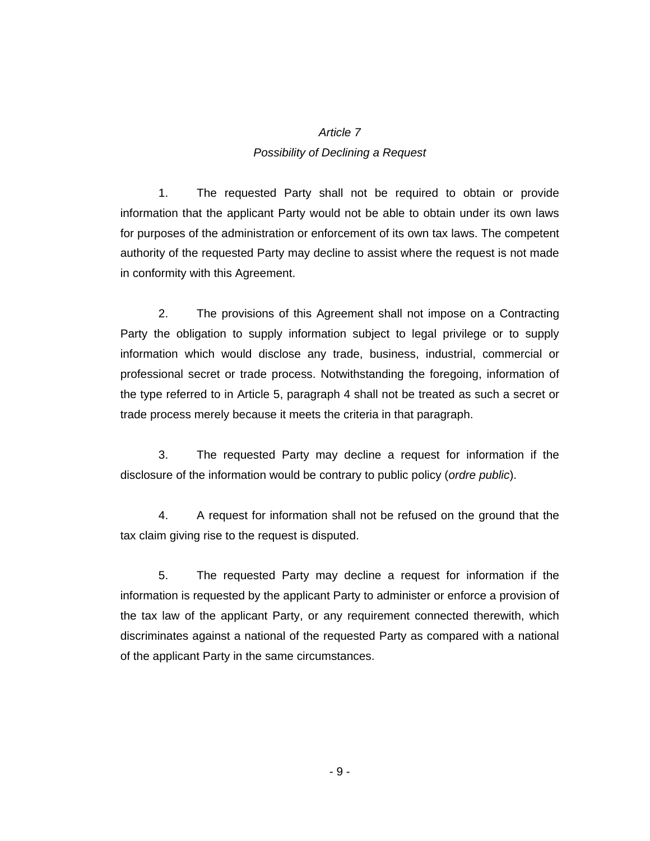# *Article 7 Possibility of Declining a Request*

1. The requested Party shall not be required to obtain or provide information that the applicant Party would not be able to obtain under its own laws for purposes of the administration or enforcement of its own tax laws. The competent authority of the requested Party may decline to assist where the request is not made in conformity with this Agreement.

2. The provisions of this Agreement shall not impose on a Contracting Party the obligation to supply information subject to legal privilege or to supply information which would disclose any trade, business, industrial, commercial or professional secret or trade process. Notwithstanding the foregoing, information of the type referred to in Article 5, paragraph 4 shall not be treated as such a secret or trade process merely because it meets the criteria in that paragraph.

3. The requested Party may decline a request for information if the disclosure of the information would be contrary to public policy (*ordre public*).

4. A request for information shall not be refused on the ground that the tax claim giving rise to the request is disputed.

5. The requested Party may decline a request for information if the information is requested by the applicant Party to administer or enforce a provision of the tax law of the applicant Party, or any requirement connected therewith, which discriminates against a national of the requested Party as compared with a national of the applicant Party in the same circumstances.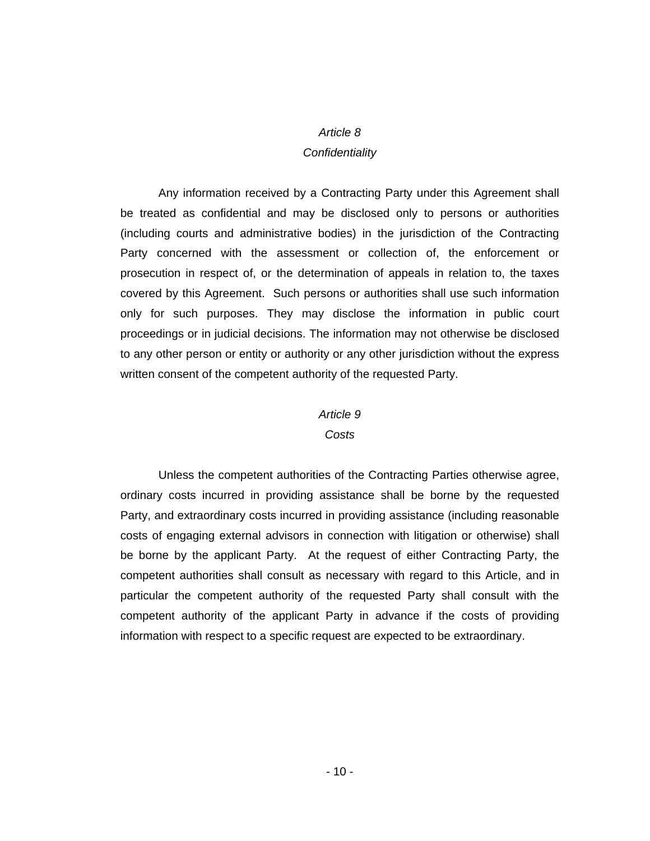# *Article 8*

### *Confidentiality*

Any information received by a Contracting Party under this Agreement shall be treated as confidential and may be disclosed only to persons or authorities (including courts and administrative bodies) in the jurisdiction of the Contracting Party concerned with the assessment or collection of, the enforcement or prosecution in respect of, or the determination of appeals in relation to, the taxes covered by this Agreement. Such persons or authorities shall use such information only for such purposes. They may disclose the information in public court proceedings or in judicial decisions. The information may not otherwise be disclosed to any other person or entity or authority or any other jurisdiction without the express written consent of the competent authority of the requested Party.

#### *Article 9*

### *Costs*

Unless the competent authorities of the Contracting Parties otherwise agree, ordinary costs incurred in providing assistance shall be borne by the requested Party, and extraordinary costs incurred in providing assistance (including reasonable costs of engaging external advisors in connection with litigation or otherwise) shall be borne by the applicant Party. At the request of either Contracting Party, the competent authorities shall consult as necessary with regard to this Article, and in particular the competent authority of the requested Party shall consult with the competent authority of the applicant Party in advance if the costs of providing information with respect to a specific request are expected to be extraordinary.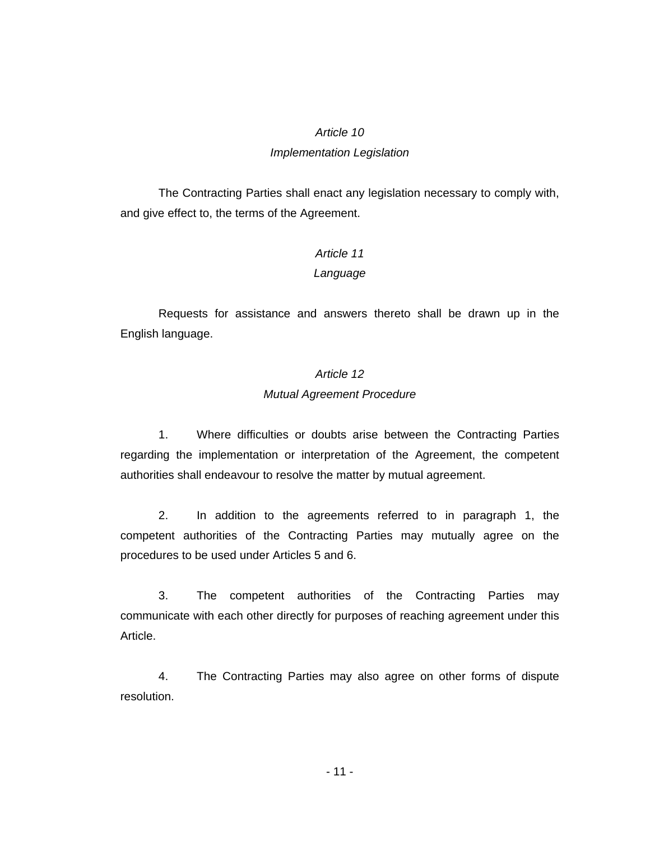# *Article 10 Implementation Legislation*

The Contracting Parties shall enact any legislation necessary to comply with, and give effect to, the terms of the Agreement.

# *Article 11*

### *Language*

Requests for assistance and answers thereto shall be drawn up in the English language.

### *Article 12*

### *Mutual Agreement Procedure*

1. Where difficulties or doubts arise between the Contracting Parties regarding the implementation or interpretation of the Agreement, the competent authorities shall endeavour to resolve the matter by mutual agreement.

2. In addition to the agreements referred to in paragraph 1, the competent authorities of the Contracting Parties may mutually agree on the procedures to be used under Articles 5 and 6.

3. The competent authorities of the Contracting Parties may communicate with each other directly for purposes of reaching agreement under this Article.

4. The Contracting Parties may also agree on other forms of dispute resolution.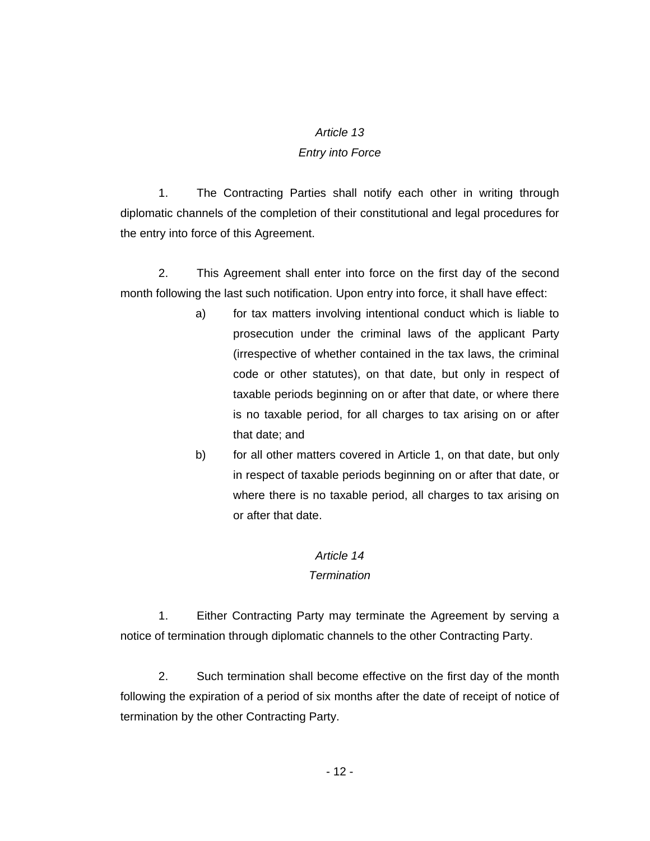### *Article 13*

### *Entry into Force*

1. The Contracting Parties shall notify each other in writing through diplomatic channels of the completion of their constitutional and legal procedures for the entry into force of this Agreement.

2. This Agreement shall enter into force on the first day of the second month following the last such notification. Upon entry into force, it shall have effect:

- a) for tax matters involving intentional conduct which is liable to prosecution under the criminal laws of the applicant Party (irrespective of whether contained in the tax laws, the criminal code or other statutes), on that date, but only in respect of taxable periods beginning on or after that date, or where there is no taxable period, for all charges to tax arising on or after that date; and
- b) for all other matters covered in Article 1, on that date, but only in respect of taxable periods beginning on or after that date, or where there is no taxable period, all charges to tax arising on or after that date.

## *Article 14*

### *Termination*

1. Either Contracting Party may terminate the Agreement by serving a notice of termination through diplomatic channels to the other Contracting Party.

2. Such termination shall become effective on the first day of the month following the expiration of a period of six months after the date of receipt of notice of termination by the other Contracting Party.